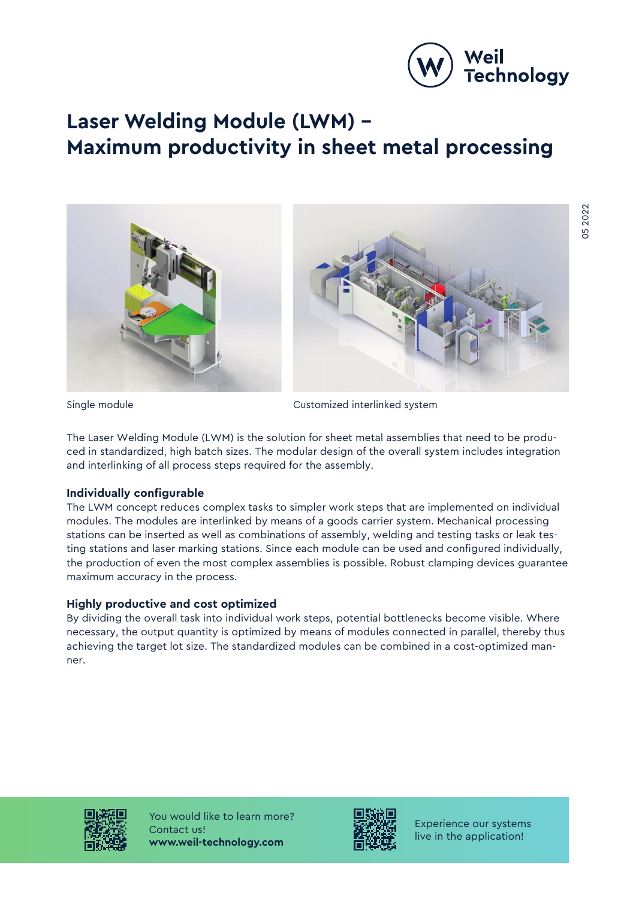

# **Laser Welding Module (LWM) – Maximum productivity in sheet metal processing**





Single module **Customized** interlinked system

The Laser Welding Module (LWM) is the solution for sheet metal assemblies that need to be produced in standardized, high batch sizes. The modular design of the overall system includes integration and interlinking of all process steps required for the assembly.

## **Individually configurable**

The LWM concept reduces complex tasks to simpler work steps that are implemented on individual modules. The modules are interlinked by means of a goods carrier system. Mechanical processing stations can be inserted as well as combinations of assembly, welding and testing tasks or leak testing stations and laser marking stations. Since each module can be used and configured individually, the production of even the most complex assemblies is possible. Robust clamping devices guarantee maximum accuracy in the process.

## **Highly productive and cost optimized**

By dividing the overall task into individual work steps, potential bottlenecks become visible. Where necessary, the output quantity is optimized by means of modules connected in parallel, thereby thus achieving the target lot size. The standardized modules can be combined in a cost-optimized manner.



You would like to learn more? Contact us! **www.weil-technology.com**



Experience our systems live in the application!